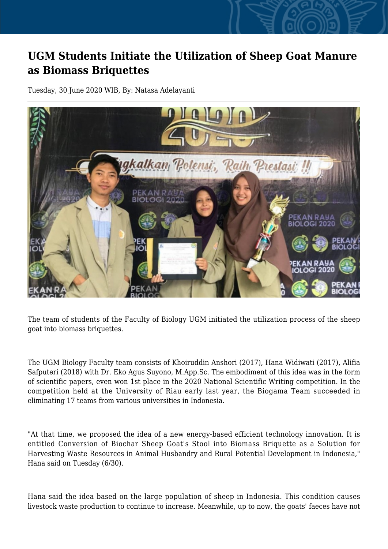## **UGM Students Initiate the Utilization of Sheep Goat Manure as Biomass Briquettes**

Tuesday, 30 June 2020 WIB, By: Natasa Adelayanti



The team of students of the Faculty of Biology UGM initiated the utilization process of the sheep goat into biomass briquettes.

The UGM Biology Faculty team consists of Khoiruddin Anshori (2017), Hana Widiwati (2017), Alifia Safputeri (2018) with Dr. Eko Agus Suyono, M.App.Sc. The embodiment of this idea was in the form of scientific papers, even won 1st place in the 2020 National Scientific Writing competition. In the competition held at the University of Riau early last year, the Biogama Team succeeded in eliminating 17 teams from various universities in Indonesia.

"At that time, we proposed the idea of a new energy-based efficient technology innovation. It is entitled Conversion of Biochar Sheep Goat's Stool into Biomass Briquette as a Solution for Harvesting Waste Resources in Animal Husbandry and Rural Potential Development in Indonesia," Hana said on Tuesday (6/30).

Hana said the idea based on the large population of sheep in Indonesia. This condition causes livestock waste production to continue to increase. Meanwhile, up to now, the goats' faeces have not